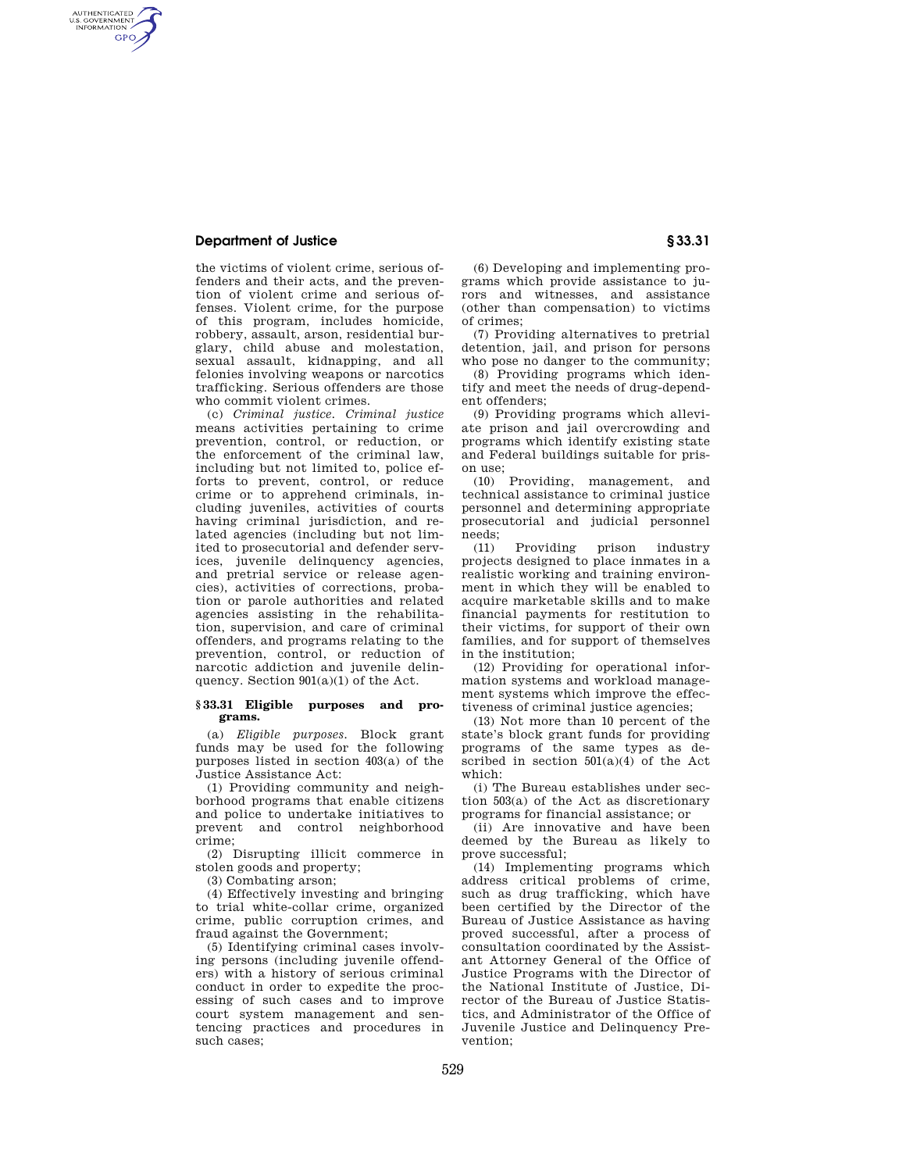## **Department of Justice § 33.31**

AUTHENTICATED<br>U.S. GOVERNMENT<br>INFORMATION **GPO** 

> the victims of violent crime, serious offenders and their acts, and the prevention of violent crime and serious offenses. Violent crime, for the purpose of this program, includes homicide, robbery, assault, arson, residential burglary, child abuse and molestation, sexual assault, kidnapping, and all felonies involving weapons or narcotics trafficking. Serious offenders are those who commit violent crimes.

(c) *Criminal justice. Criminal justice*  means activities pertaining to crime prevention, control, or reduction, or the enforcement of the criminal law, including but not limited to, police efforts to prevent, control, or reduce crime or to apprehend criminals, including juveniles, activities of courts having criminal jurisdiction, and related agencies (including but not limited to prosecutorial and defender services, juvenile delinquency agencies, and pretrial service or release agencies), activities of corrections, probation or parole authorities and related agencies assisting in the rehabilitation, supervision, and care of criminal offenders, and programs relating to the prevention, control, or reduction of narcotic addiction and juvenile delinquency. Section  $901(a)(1)$  of the Act.

## **§ 33.31 Eligible purposes and programs.**

(a) *Eligible purposes.* Block grant funds may be used for the following purposes listed in section 403(a) of the Justice Assistance Act:

(1) Providing community and neighborhood programs that enable citizens and police to undertake initiatives to prevent and control neighborhood crime;

(2) Disrupting illicit commerce in stolen goods and property;

(3) Combating arson;

(4) Effectively investing and bringing to trial white-collar crime, organized crime, public corruption crimes, and fraud against the Government;

(5) Identifying criminal cases involving persons (including juvenile offenders) with a history of serious criminal conduct in order to expedite the processing of such cases and to improve court system management and sentencing practices and procedures in such cases;

(6) Developing and implementing programs which provide assistance to jurors and witnesses, and assistance (other than compensation) to victims of crimes;

(7) Providing alternatives to pretrial detention, jail, and prison for persons who pose no danger to the community:

(8) Providing programs which identify and meet the needs of drug-dependent offenders;

(9) Providing programs which alleviate prison and jail overcrowding and programs which identify existing state and Federal buildings suitable for prison use;

(10) Providing, management, and technical assistance to criminal justice personnel and determining appropriate prosecutorial and judicial personnel needs;<br> $(11)$ 

Providing prison industry projects designed to place inmates in a realistic working and training environment in which they will be enabled to acquire marketable skills and to make financial payments for restitution to their victims, for support of their own families, and for support of themselves in the institution;

(12) Providing for operational information systems and workload management systems which improve the effectiveness of criminal justice agencies;

(13) Not more than 10 percent of the state's block grant funds for providing programs of the same types as described in section  $501(a)(4)$  of the Act which:

(i) The Bureau establishes under section 503(a) of the Act as discretionary programs for financial assistance; or

(ii) Are innovative and have been deemed by the Bureau as likely to prove successful;

(14) Implementing programs which address critical problems of crime, such as drug trafficking, which have been certified by the Director of the Bureau of Justice Assistance as having proved successful, after a process of consultation coordinated by the Assistant Attorney General of the Office of Justice Programs with the Director of the National Institute of Justice, Director of the Bureau of Justice Statistics, and Administrator of the Office of Juvenile Justice and Delinquency Prevention;